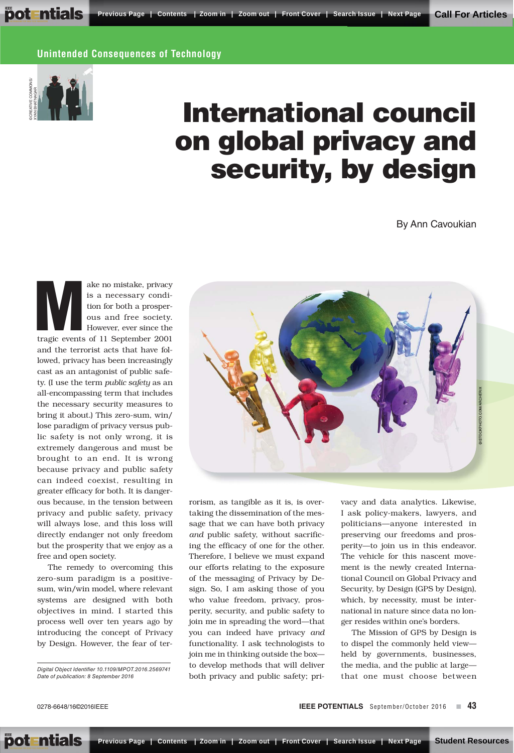## **Unintended Consequences of Technology**



# **International council on global privacy and security, by design**

By Ann Cavoukian

ake no mistake, privacy<br>
is a necessary condi-<br>
tion for both a prosper-<br>
ous and free society.<br>
However, ever since the<br>
tragic events of 11 September 2001 is a necessary condition for both a prosperous and free society. However, ever since the and the terrorist acts that have followed, privacy has been increasingly cast as an antagonist of public safety. (I use the term *public safety* as an all-encompassing term that includes the necessary security measures to bring it about.) This zero-sum, win/ lose paradigm of privacy versus public safety is not only wrong, it is extremely dangerous and must be brought to an end. It is wrong because privacy and public safety can indeed coexist, resulting in greater efficacy for both. It is dangerous because, in the tension between privacy and public safety, privacy will always lose, and this loss will directly endanger not only freedom but the prosperity that we enjoy as a free and open society.

The remedy to overcoming this zero-sum paradigm is a positivesum, win/win model, where relevant systems are designed with both objectives in mind. I started this process well over ten years ago by introducing the concept of Privacy by Design. However, the fear of ter-



rorism, as tangible as it is, is overtaking the dissemination of the message that we can have both privacy *and* public safety, without sacrificing the efficacy of one for the other. Therefore, I believe we must expand our efforts relating to the exposure of the messaging of Privacy by Design. So, I am asking those of you who value freedom, privacy, prosperity, security, and public safety to join me in spreading the word—that you can indeed have privacy *and* functionality. I ask technologists to join me in thinking outside the box to develop methods that will deliver both privacy and public safety; privacy and data analytics. Likewise, I ask policy-makers, lawyers, and politicians—anyone interested in preserving our freedoms and prosperity—to join us in this endeavor. The vehicle for this nascent movement is the newly created International Council on Global Privacy and Security, by Design (GPS by Design), which, by necessity, must be international in nature since data no longer resides within one's borders.

The Mission of GPS by Design is to dispel the commonly held view held by governments, businesses, the media, and the public at large that one must choose between

Digital Object Identifier 10.1109/MPOT.2016.2569741 Date of publication: 8 September 2016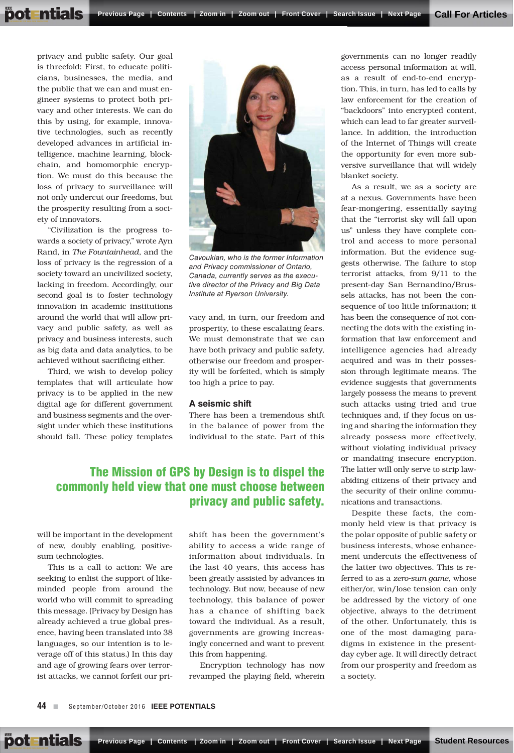privacy and public safety. Our goal is threefold: First, to educate politicians, businesses, the media, and the public that we can and must engineer systems to protect both privacy and other interests. We can do this by using, for example, innovative technologies, such as recently developed advances in artificial intelligence, machine learning, blockchain, and homomorphic encryption. We must do this because the loss of privacy to surveillance will not only undercut our freedoms, but the prosperity resulting from a society of innovators.

"Civilization is the progress towards a society of privacy," wrote Ayn Rand, in *The Fountainhead*, and the loss of privacy is the regression of a society toward an uncivilized society, lacking in freedom. Accordingly, our second goal is to foster technology innovation in academic institutions around the world that will allow privacy and public safety, as well as privacy and business interests, such as big data and data analytics, to be achieved without sacrificing either.

Third, we wish to develop policy templates that will articulate how privacy is to be applied in the new digital age for different government and business segments and the oversight under which these institutions should fall. These policy templates



Cavoukian, who is the former Information and Privacy commissioner of Ontario, Canada, currently serves as the executive director of the Privacy and Big Data Institute at Ryerson University.

vacy and, in turn, our freedom and prosperity, to these escalating fears. We must demonstrate that we can have both privacy and public safety, otherwise our freedom and prosperity will be forfeited, which is simply too high a price to pay.

#### **A seismic shift**

There has been a tremendous shift in the balance of power from the individual to the state. Part of this

# **The Mission of GPS by Design is to dispel the commonly held view that one must choose between privacy and public safety.**

will be important in the development of new, doubly enabling, positivesum technologies.

This is a call to action: We are seeking to enlist the support of likeminded people from around the world who will commit to spreading this message. (Privacy by Design has already achieved a true global presence, having been translated into 38 languages, so our intention is to leverage off of this status.) In this day and age of growing fears over terrorist attacks, we cannot forfeit our prishift has been the government's ability to access a wide range of information about individuals. In the last 40 years, this access has been greatly assisted by advances in technology. But now, because of new technology, this balance of power has a chance of shifting back toward the individual. As a result, governments are growing increasingly concerned and want to prevent this from happening.

Encryption technology has now revamped the playing field, wherein governments can no longer readily access personal information at will, as a result of end-to-end encryption. This, in turn, has led to calls by law enforcement for the creation of "backdoors" into encrypted content, which can lead to far greater surveillance. In addition, the introduction of the Internet of Things will create the opportunity for even more subversive surveillance that will widely blanket society.

As a result, we as a society are at a nexus. Governments have been fear-mongering, essentially saying that the "terrorist sky will fall upon us" unless they have complete control and access to more personal information. But the evidence suggests otherwise. The failure to stop terrorist attacks, from 9/11 to the present-day San Bernandino/Brussels attacks, has not been the consequence of too little information; it has been the consequence of not connecting the dots with the existing information that law enforcement and intelligence agencies had already acquired and was in their possession through legitimate means. The evidence suggests that governments largely possess the means to prevent such attacks using tried and true techniques and, if they focus on using and sharing the information they already possess more effectively, without violating individual privacy or mandating insecure encryption. The latter will only serve to strip lawabiding citizens of their privacy and the security of their online communications and transactions.

Despite these facts, the commonly held view is that privacy is the polar opposite of public safety or business interests, whose enhancement undercuts the effectiveness of the latter two objectives. This is referred to as a *zero-sum game*, whose either/or, win/lose tension can only be addressed by the victory of one objective, always to the detriment of the other. Unfortunately, this is one of the most damaging paradigms in existence in the presentday cyber age. It will directly detract from our prosperity and freedom as a society.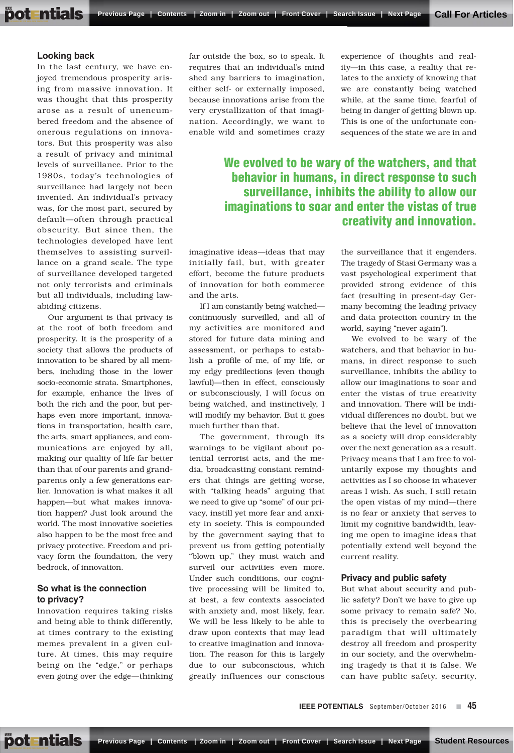pot ntials

## **Looking back**

In the last century, we have enjoyed tremendous prosperity arising from massive innovation. It was thought that this prosperity arose as a result of unencumbered freedom and the absence of onerous regulations on innovators. But this prosperity was also a result of privacy and minimal levels of surveillance. Prior to the 1980s, today's technologies of surveillance had largely not been invented. An individual's privacy was, for the most part, secured by default—often through practical obscurity. But since then, the technologies developed have lent themselves to assisting surveillance on a grand scale. The type of surveillance developed targeted not only terrorists and criminals but all individuals, including lawabiding citizens.

Our argument is that privacy is at the root of both freedom and prosperity. It is the prosperity of a society that allows the products of innovation to be shared by all members, including those in the lower socio-economic strata. Smartphones, for example, enhance the lives of both the rich and the poor, but perhaps even more important, innovations in transportation, health care, the arts, smart appliances, and communications are enjoyed by all, making our quality of life far better than that of our parents and grandparents only a few generations earlier. Innovation is what makes it all happen—but what makes innovation happen? Just look around the world. The most innovative societies also happen to be the most free and privacy protective. Freedom and privacy form the foundation, the very bedrock, of innovation.

## **So what is the connection to privacy?**

Innovation requires taking risks and being able to think differently, at times contrary to the existing memes prevalent in a given culture. At times, this may require being on the "edge," or perhaps even going over the edge—thinking far outside the box, so to speak. It requires that an individual's mind shed any barriers to imagination, either self- or externally imposed, because innovations arise from the very crystallization of that imagination. Accordingly, we want to enable wild and sometimes crazy experience of thoughts and reality—in this case, a reality that relates to the anxiety of knowing that we are constantly being watched while, at the same time, fearful of being in danger of getting blown up. This is one of the unfortunate consequences of the state we are in and

# **We evolved to be wary of the watchers, and that behavior in humans, in direct response to such surveillance, inhibits the ability to allow our imaginations to soar and enter the vistas of true creativity and innovation.**

imaginative ideas—ideas that may initially fail, but, with greater effort, become the future products of innovation for both commerce and the arts.

If I am constantly being watched continuously surveilled, and all of my activities are monitored and stored for future data mining and assessment, or perhaps to establish a profile of me, of my life, or my edgy predilections (even though lawful)—then in effect, consciously or subconsciously, I will focus on being watched, and instinctively, I will modify my behavior. But it goes much further than that.

The government, through its warnings to be vigilant about potential terrorist acts, and the media, broadcasting constant reminders that things are getting worse, with "talking heads" arguing that we need to give up "some" of our privacy, instill yet more fear and anxiety in society. This is compounded by the government saying that to prevent us from getting potentially "blown up," they must watch and surveil our activities even more. Under such conditions, our cognitive processing will be limited to, at best, a few contexts associated with anxiety and, most likely, fear. We will be less likely to be able to draw upon contexts that may lead to creative imagination and innovation. The reason for this is largely due to our subconscious, which greatly influences our conscious the surveillance that it engenders. The tragedy of Stasi Germany was a vast psychological experiment that provided strong evidence of this fact (resulting in present-day Germany becoming the leading privacy and data protection country in the world, saying "never again").

We evolved to be wary of the watchers, and that behavior in humans, in direct response to such surveillance, inhibits the ability to allow our imaginations to soar and enter the vistas of true creativity and innovation. There will be individual differences no doubt, but we believe that the level of innovation as a society will drop considerably over the next generation as a result. Privacy means that I am free to voluntarily expose my thoughts and activities as I so choose in whatever areas I wish. As such, I still retain the open vistas of my mind—there is no fear or anxiety that serves to limit my cognitive bandwidth, leaving me open to imagine ideas that potentially extend well beyond the current reality.

### **Privacy and public safety**

But what about security and public safety? Don't we have to give up some privacy to remain safe? No, this is precisely the overbearing paradigm that will ultimately destroy all freedom and prosperity in our society, and the overwhelming tragedy is that it is false. We can have public safety, security,